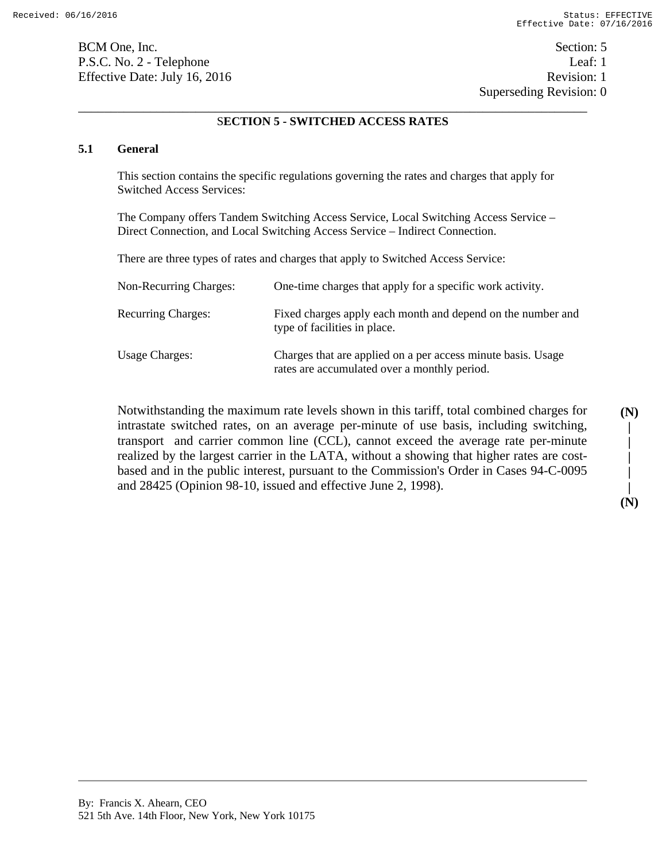BCM One, Inc. Section: 5 P.S.C. No. 2 - Telephone Leaf: 1 Effective Date: July 16, 2016 Revision: 1

Superseding Revision: 0

### \_\_\_\_\_\_\_\_\_\_\_\_\_\_\_\_\_\_\_\_\_\_\_\_\_\_\_\_\_\_\_\_\_\_\_\_\_\_\_\_\_\_\_\_\_\_\_\_\_\_\_\_\_\_\_\_\_\_\_\_\_\_\_\_\_\_\_\_\_\_\_\_\_\_\_\_\_\_ S**ECTION 5 - SWITCHED ACCESS RATES**

#### **5.1 General**

This section contains the specific regulations governing the rates and charges that apply for Switched Access Services:

The Company offers Tandem Switching Access Service, Local Switching Access Service – Direct Connection, and Local Switching Access Service – Indirect Connection.

There are three types of rates and charges that apply to Switched Access Service:

| Non-Recurring Charges:    | One-time charges that apply for a specific work activity.                                                    |
|---------------------------|--------------------------------------------------------------------------------------------------------------|
| <b>Recurring Charges:</b> | Fixed charges apply each month and depend on the number and<br>type of facilities in place.                  |
| <b>Usage Charges:</b>     | Charges that are applied on a per access minute basis. Usage<br>rates are accumulated over a monthly period. |

Notwithstanding the maximum rate levels shown in this tariff, total combined charges for intrastate switched rates, on an average per-minute of use basis, including switching, transport and carrier common line (CCL), cannot exceed the average rate per-minute realized by the largest carrier in the LATA, without a showing that higher rates are costbased and in the public interest, pursuant to the Commission's Order in Cases 94-C-0095 and 28425 (Opinion 98-10, issued and effective June 2, 1998).

**| | | | (N)** 

**(N) |**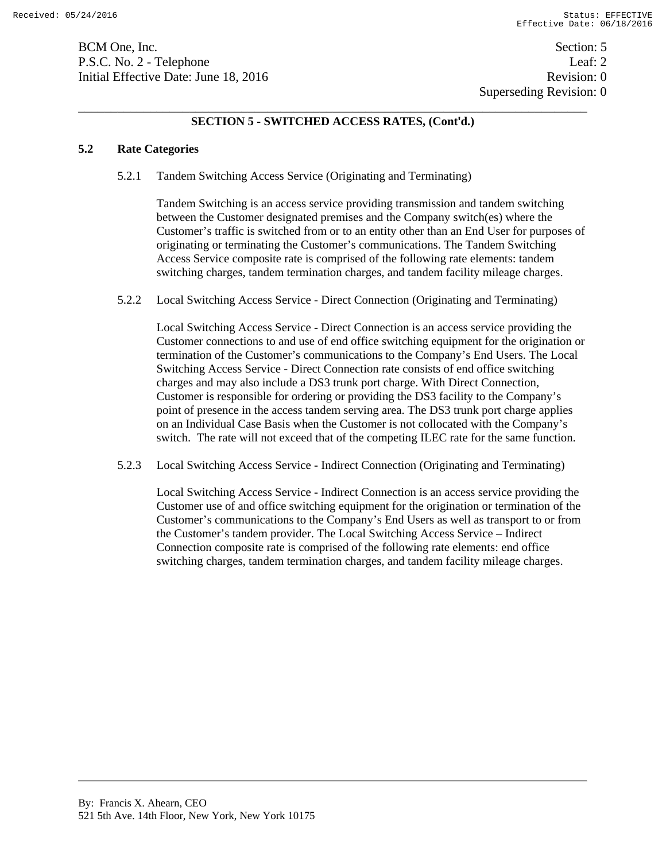BCM One, Inc. Section: 5 P.S.C. No. 2 - Telephone Leaf: 2 Initial Effective Date: June 18, 2016 **Revision: 0** Revision: 0

## **SECTION 5 - SWITCHED ACCESS RATES, (Cont'd.)**

### **5.2 Rate Categories**

5.2.1 Tandem Switching Access Service (Originating and Terminating)

Tandem Switching is an access service providing transmission and tandem switching between the Customer designated premises and the Company switch(es) where the Customer's traffic is switched from or to an entity other than an End User for purposes of originating or terminating the Customer's communications. The Tandem Switching Access Service composite rate is comprised of the following rate elements: tandem switching charges, tandem termination charges, and tandem facility mileage charges.

5.2.2 Local Switching Access Service - Direct Connection (Originating and Terminating)

Local Switching Access Service - Direct Connection is an access service providing the Customer connections to and use of end office switching equipment for the origination or termination of the Customer's communications to the Company's End Users. The Local Switching Access Service - Direct Connection rate consists of end office switching charges and may also include a DS3 trunk port charge. With Direct Connection, Customer is responsible for ordering or providing the DS3 facility to the Company's point of presence in the access tandem serving area. The DS3 trunk port charge applies on an Individual Case Basis when the Customer is not collocated with the Company's switch. The rate will not exceed that of the competing ILEC rate for the same function.

5.2.3 Local Switching Access Service - Indirect Connection (Originating and Terminating)

Local Switching Access Service - Indirect Connection is an access service providing the Customer use of and office switching equipment for the origination or termination of the Customer's communications to the Company's End Users as well as transport to or from the Customer's tandem provider. The Local Switching Access Service – Indirect Connection composite rate is comprised of the following rate elements: end office switching charges, tandem termination charges, and tandem facility mileage charges.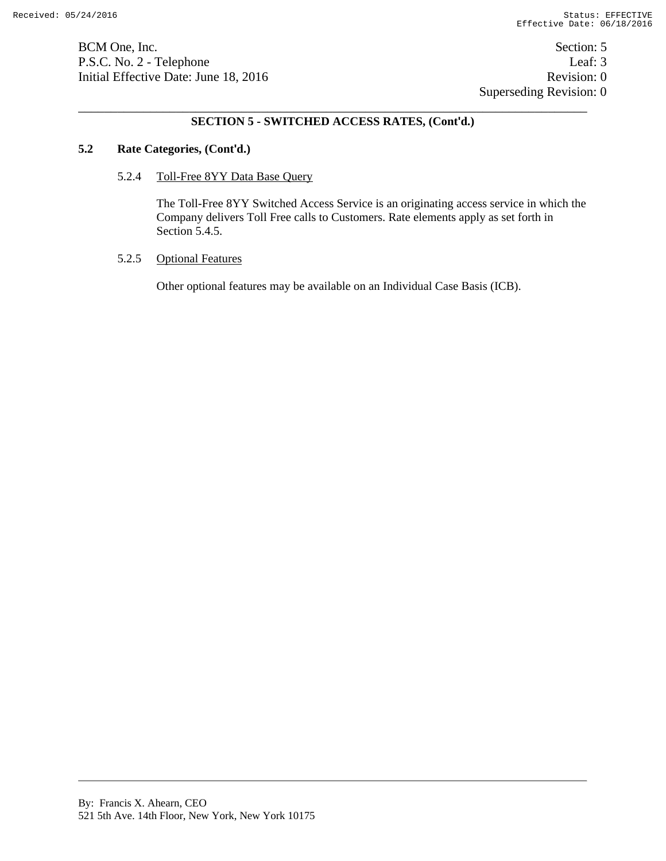BCM One, Inc. Section: 5 P.S.C. No. 2 - Telephone Leaf: 3 Initial Effective Date: June 18, 2016 Revision: 0

 Superseding Revision: 0 \_\_\_\_\_\_\_\_\_\_\_\_\_\_\_\_\_\_\_\_\_\_\_\_\_\_\_\_\_\_\_\_\_\_\_\_\_\_\_\_\_\_\_\_\_\_\_\_\_\_\_\_\_\_\_\_\_\_\_\_\_\_\_\_\_\_\_\_\_\_\_\_\_\_\_\_\_\_

### **SECTION 5 - SWITCHED ACCESS RATES, (Cont'd.)**

#### **5.2 Rate Categories, (Cont'd.)**

#### 5.2.4 Toll-Free 8YY Data Base Query

The Toll-Free 8YY Switched Access Service is an originating access service in which the Company delivers Toll Free calls to Customers. Rate elements apply as set forth in Section 5.4.5.

#### 5.2.5 Optional Features

Other optional features may be available on an Individual Case Basis (ICB).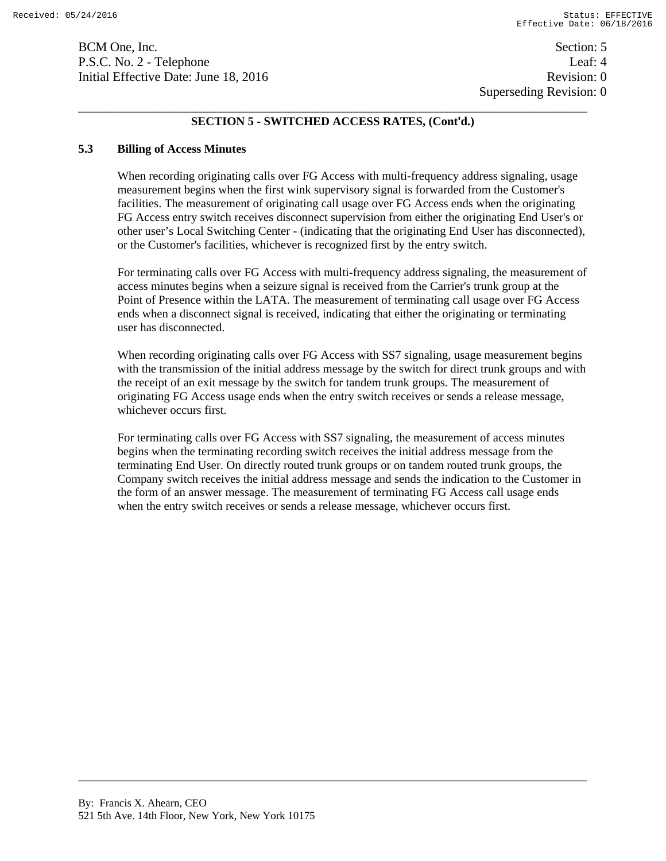Superseding Revision: 0 \_\_\_\_\_\_\_\_\_\_\_\_\_\_\_\_\_\_\_\_\_\_\_\_\_\_\_\_\_\_\_\_\_\_\_\_\_\_\_\_\_\_\_\_\_\_\_\_\_\_\_\_\_\_\_\_\_\_\_\_\_\_\_\_\_\_\_\_\_\_\_\_\_\_\_\_\_\_

## **SECTION 5 - SWITCHED ACCESS RATES, (Cont'd.)**

### **5.3 Billing of Access Minutes**

When recording originating calls over FG Access with multi-frequency address signaling, usage measurement begins when the first wink supervisory signal is forwarded from the Customer's facilities. The measurement of originating call usage over FG Access ends when the originating FG Access entry switch receives disconnect supervision from either the originating End User's or other user's Local Switching Center - (indicating that the originating End User has disconnected), or the Customer's facilities, whichever is recognized first by the entry switch.

For terminating calls over FG Access with multi-frequency address signaling, the measurement of access minutes begins when a seizure signal is received from the Carrier's trunk group at the Point of Presence within the LATA. The measurement of terminating call usage over FG Access ends when a disconnect signal is received, indicating that either the originating or terminating user has disconnected.

When recording originating calls over FG Access with SS7 signaling, usage measurement begins with the transmission of the initial address message by the switch for direct trunk groups and with the receipt of an exit message by the switch for tandem trunk groups. The measurement of originating FG Access usage ends when the entry switch receives or sends a release message, whichever occurs first.

For terminating calls over FG Access with SS7 signaling, the measurement of access minutes begins when the terminating recording switch receives the initial address message from the terminating End User. On directly routed trunk groups or on tandem routed trunk groups, the Company switch receives the initial address message and sends the indication to the Customer in the form of an answer message. The measurement of terminating FG Access call usage ends when the entry switch receives or sends a release message, whichever occurs first.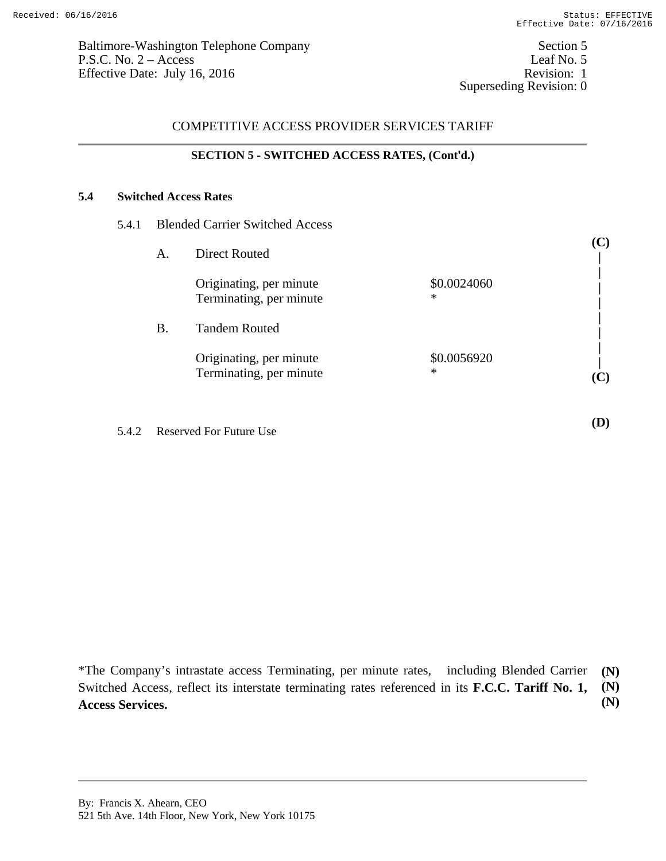**(C)** 

**(D)** 

# COMPETITIVE ACCESS PROVIDER SERVICES TARIFF

#### **SECTION 5 - SWITCHED ACCESS RATES, (Cont'd.)**

### **5.4 Switched Access Rates**

| 5.4.1 Blended Carrier Switched Access |  |
|---------------------------------------|--|
|                                       |  |

| A. | <b>Direct Routed</b>                               |                       |                |
|----|----------------------------------------------------|-----------------------|----------------|
|    | Originating, per minute<br>Terminating, per minute | \$0.0024060<br>$\ast$ |                |
| В. | <b>Tandem Routed</b>                               |                       |                |
|    | Originating, per minute<br>Terminating, per minute | \$0.0056920<br>$\ast$ | $(\mathbf{C})$ |

5.4.2 Reserved For Future Use

\*The Company's intrastate access Terminating, per minute rates, including Blended Carrier Switched Access, reflect its interstate terminating rates referenced in its **F.C.C. Tariff No. 1, Access Services. (N) (N) (N)**